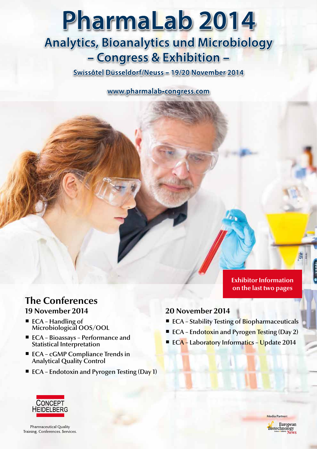# PharmaLab 2014 **Analytics, Bioanalytics und Microbiology** - Congress & Exhibition -

Swissôtel Düsseldorf/Neuss - 19/20 November 2014

www.pharmalab-congress.com

# **The Conferences 19 November 2014**

- ECA Handling of Microbiological OOS/OOL
- ECA Bioassays Performance and Statistical Interpretation
- $\blacksquare$  ECA cGMP Compliance Trends in Analytical Quality Control
- ECA Endotoxin and Pyrogen Testing (Day 1)

# **20 November 2014**

■ ECA – Stability Testing of Biopharmaceuticals

lar<sub>i</sub>

**Exhibitor Information on the last two pages**

- ECA Endotoxin and Pyrogen Testing (Day 2)
- **ECA Laboratory Informatics Update 2014**



**Pharmaceutical Quality** Training. Conferences. Services.



Media Partner: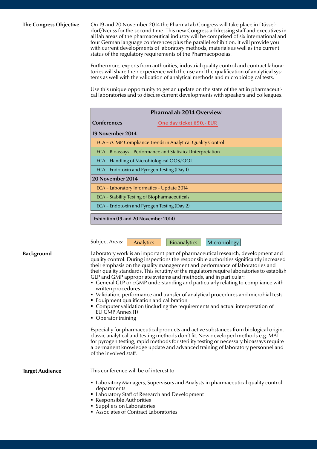#### **The Congress Objective**

On 19 and 20 November 2014 the PharmaLab Congress will take place in Düsseldorf/Neuss for the second time. This new Congress addressing staff and executives in all lab areas of the pharmaceutical industry will be comprised of six international and four German language conferences plus the parallel exhibition. It will provide you with current developments of laboratory methods, materials as well as the current status of the regulatory requirements of the Pharmacopoeias.

Furthermore, experts from authorities, industrial quality control and contract laboratories will share their experience with the use and the qualification of analytical systems as well with the validation of analytical methods and microbiological tests.

Use this unique opportunity to get an update on the state of the art in pharmaceutical laboratories and to discuss current developments with speakers and colleagues.

| <b>PharmaLab 2014 Overview</b>                               |                          |  |
|--------------------------------------------------------------|--------------------------|--|
| <b>Conferences</b>                                           | One day ticket 690,- EUR |  |
| 19 November 2014                                             |                          |  |
| ECA - cGMP Compliance Trends in Analytical Quality Control   |                          |  |
| ECA - Bioassays - Performance and Statistical Interpretation |                          |  |
| ECA – Handling of Microbiological OOS/OOL                    |                          |  |
| ECA - Endotoxin and Pyrogen Testing (Day 1)                  |                          |  |
| 20 November 2014                                             |                          |  |
| ECA - Laboratory Informatics - Update 2014                   |                          |  |
| ECA – Stability Testing of Biopharmaceuticals                |                          |  |
| ECA - Endotoxin and Pyrogen Testing (Day 2)                  |                          |  |
| Exhibition (19 and 20 November 2014)                         |                          |  |

Subject Areas: Analytics | Bioanalytics | Microbiology

**Background** 

Laboratory work is an important part of pharmaceutical research, development and quality control. During inspections the responsible authorities significantly increased their emphasis on the quality management and performance of laboratories and their quality standards. This scrutiny of the regulators require laboratories to establish GLP and GMP appropriate systems and methods, and in particular:

- General GLP or cGMP understanding and particularly relating to compliance with written procedures
- Validation, performance and transfer of analytical procedures and microbial tests
- **Equipment qualification and calibration**
- Computer validation (including the requirements and actual interpretation of EU GMP Annex 11)
- Operator training

Especially for pharmaceutical products and active substances from biological origin, classic analytical and testing methods don't fit. New developed methods e.g. MAT for pyrogen testing, rapid methods for sterility testing or necessary bioassays require a permanent knowledge update and advanced training of laboratory personnel and of the involved staff.

**Target Audience**

This conference will be of interest to

- Laboratory Managers, Supervisors and Analysts in pharmaceutical quality control departments
- Laboratory Staff of Research and Development
- Responsible Authorities
- **Suppliers on Laboratories**
- Associates of Contract Laboratories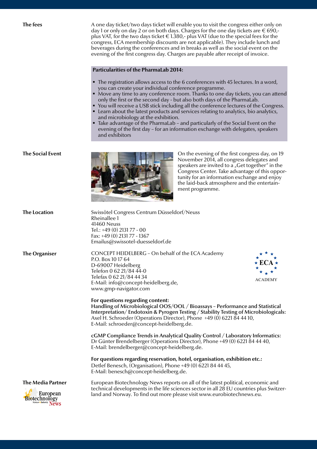**The fees**

**The Social Event**

A one day ticket/two days ticket will enable you to visit the congress either only on day 1 or only on day 2 or on both days. Charges for the one day tickets are  $\epsilon$  690,plus VAT, for the two days ticket  $\in$  1.380,- plus VAT (due to the special fees for the congress, ECA membership discounts are not applicable). They include lunch and beverages during the conferences and in breaks as well as the social event on the evening of the first congress day. Charges are payable after receipt of invoice.

#### **Particularities of the PharmaLab 2014:**

- The registration allows access to the 6 conferences with 45 lectures. In a word, you can create your individual conference programme.
- $\bullet$  Move any time to any conference room. Thanks to one day tickets, you can attend only the first or the second day - but also both days of the PharmaLab.
- You will receive a USB stick including all the conference lectures of the Congress.
- **EXECT** Learn about the latest products and services relating to analytics, bio analytics, and microbiology at the exhibition.
- $\blacksquare$  Take advantage of the PharmaLab and particularly of the Social Event on the evening of the first day – for an information exchange with delegates, speakers and exhibitors



On the evening of the first congress day, on 19 November 2014, all congress delegates and speakers are invited to  $a_{n}$ <sup> $\sim$ </sup>Get together<sup>"</sup> in the Congress Center. Take advantage of this opportunity for an information exchange and enjoy the laid-back atmosphere and the entertainment programme.

| <b>The Location</b>                                                                              | Swissôtel Congress Centrum Düsseldorf/Neuss<br>Rheinallee 1<br>41460 Neuss<br>Tel.: +49 (0) 2131 77 - 00<br>Fax: +49 (0) 2131 77 - 1367<br>Emailus@swissotel-duesseldorf.de                                                                                                                                                   |  |
|--------------------------------------------------------------------------------------------------|-------------------------------------------------------------------------------------------------------------------------------------------------------------------------------------------------------------------------------------------------------------------------------------------------------------------------------|--|
| <b>The Organiser</b>                                                                             | CONCEPT HEIDELBERG - On behalf of the ECA Academy<br>P.O. Box 10 17 64<br>$\star$ ECA $\star$<br>D-69007 Heidelberg<br>Telefon 0 62 21/84 44-0<br>Telefax 0 62 21/84 44 34<br><b>ACADEMY</b><br>E-Mail: info@concept-heidelberg.de,<br>www.gmp-navigator.com                                                                  |  |
|                                                                                                  | For questions regarding content:<br>Handling of Microbiological OOS/OOL / Bioassays - Performance and Statistical<br>Interpretation/Endotoxin & Pyrogen Testing / Stability Testing of Microbiologicals:<br>Axel H. Schroeder (Operations Director), Phone +49 (0) 6221 84 44 10,<br>E-Mail: schroeder@concept-heidelberg.de. |  |
|                                                                                                  | cGMP Compliance Trends in Analytical Quality Control / Laboratory Informatics:<br>Dr Günter Brendelberger (Operations Director), Phone +49 (0) 6221 84 44 40,<br>E-Mail: brendelberger@concept-heidelberg.de.                                                                                                                 |  |
|                                                                                                  | For questions regarding reservation, hotel, organisation, exhibition etc.:<br>Detlef Benesch, (Organisation), Phone +49 (0) 6221 84 44 45,<br>E-Mail: benesch@concept-heidelberg.de.                                                                                                                                          |  |
| <b>The Media Partner</b><br><b>Biotechnology</b><br>Biotechnology<br><b>Biotecalndustry News</b> | European Biotechnology News reports on all of the latest political, economic and<br>technical developments in the life sciences sector in all 28 EU countries plus Switzer-<br>land and Norway. To find out more please visit www.eurobiotechnews.eu.                                                                         |  |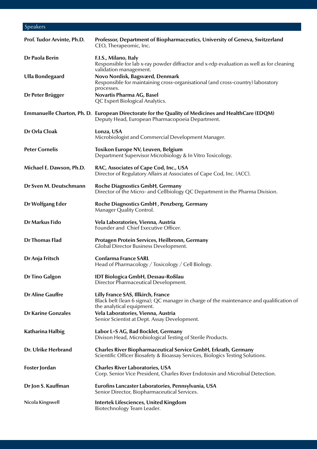# Speakers

| Prof. Tudor Arvinte, Ph.D. | Professor, Department of Biopharmaceutics, University of Geneva, Switzerland<br>CEO, Therapeomic, Inc.                                                     |
|----------------------------|------------------------------------------------------------------------------------------------------------------------------------------------------------|
| Dr Paola Berin             | F.I.S., Milano, Italy<br>Responsible for lab x-ray powder diffractor and x-rdp evaluation as well as for cleaning<br>validation management.                |
| <b>Ulla Bondegaard</b>     | Novo Nordisk, Bagsværd, Denmark<br>Responsible for maintaining cross-organisational (and cross-country) laboratory<br>processes.                           |
| Dr Peter Brügger           | Novartis Pharma AG, Basel<br>QC Expert Biological Analytics.                                                                                               |
|                            | Emmanuelle Charton, Ph. D. European Directorate for the Quality of Medicines and HealthCare (EDQM)<br>Deputy Head, European Pharmacopoeia Department.      |
| Dr Orla Cloak              | Lonza, USA<br>Microbiologist and Commercial Development Manager.                                                                                           |
| <b>Peter Cornelis</b>      | Toxikon Europe NV, Leuven, Belgium<br>Department Supervisor Microbiology & In Vitro Toxicology.                                                            |
| Michael E. Dawson, Ph.D.   | RAC, Associates of Cape Cod, Inc., USA<br>Director of Regulatory Affairs at Associates of Cape Cod, Inc. (ACC).                                            |
| Dr Sven M. Deutschmann     | <b>Roche Diagnostics GmbH, Germany</b><br>Director of the Micro- and Cellbiology QC Department in the Pharma Division.                                     |
| Dr Wolfgang Eder           | Roche Diagnostics GmbH, Penzberg, Germany<br>Manager Quality Control.                                                                                      |
| Dr Markus Fido             | Vela Laboratories, Vienna, Austria<br>Founder and Chief Executive Officer.                                                                                 |
| <b>Dr Thomas Flad</b>      | Protagen Protein Services, Heilbronn, Germany<br><b>Global Director Business Development.</b>                                                              |
| Dr Anja Fritsch            | <b>Confarma France SARL</b><br>Head of Pharmacology / Toxicology / Cell Biology.                                                                           |
| <b>Dr Tino Galgon</b>      | IDT Biologica GmbH, Dessau-Roßlau<br>Director Pharmaceutical Development.                                                                                  |
| <b>Dr Aline Gauffre</b>    | Lilly France SAS, Illkirch, France<br>Black belt (lean 6 sigma); QC manager in charge of the maintenance and qualification of<br>the analytical equipment. |
| <b>Dr Karine Gonzales</b>  | Vela Laboratories, Vienna, Austria<br>Senior Scientist at Dept. Assay Development.                                                                         |
| Katharina Halbig           | Labor L+S AG, Bad Bocklet, Germany<br>Divison Head, Microbiological Testing of Sterile Products.                                                           |
| Dr. Ulrike Herbrand        | Charles River Biopharmaceutical Service GmbH, Erkrath, Germany<br>Scientific Officer Biosafety & Bioassay Services, Biologics Testing Solutions.           |
| Foster Jordan              | <b>Charles River Laboratories, USA</b><br>Corp. Senior Vice President, Charles River Endotoxin and Microbial Detection.                                    |
| Dr Jon S. Kauffman         | Eurofins Lancaster Laboratories, Pennsylvania, USA<br>Senior Director, Biopharmaceutical Services.                                                         |
| Nicola Kingswell           | Intertek Lifesciences, United Kingdom<br>Biotechnology Team Leader.                                                                                        |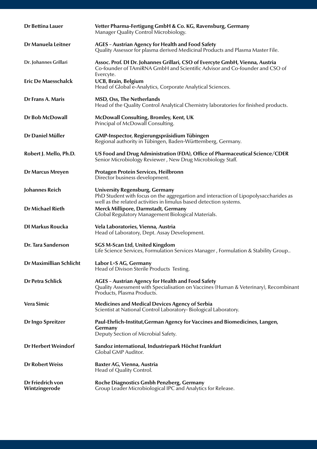| <b>Dr Bettina Lauer</b>           | Vetter Pharma-Fertigung GmbH & Co. KG, Ravensburg, Germany<br>Manager Quality Control Microbiology.                                                                                                 |
|-----------------------------------|-----------------------------------------------------------------------------------------------------------------------------------------------------------------------------------------------------|
| <b>Dr Manuela Leitner</b>         | <b>AGES</b> - Austrian Agency for Health and Food Safety<br>Quality Assessor for plasma derived Medicinal Products and Plasma Master File.                                                          |
| Dr. Johannes Grillari             | Assoc. Prof. DI Dr. Johannes Grillari, CSO of Evercyte GmbH, Vienna, Austria<br>Co-founder of TAmiRNA GmbH and Scientific Advisor and Co-founder and CSO of<br>Evercyte.                            |
| <b>Eric De Maesschalck</b>        | <b>UCB, Brain, Belgium</b><br>Head of Global e-Analytics, Corporate Analytical Sciences.                                                                                                            |
| Dr Frans A. Maris                 | <b>MSD, Oss, The Netherlands</b><br>Head of the Quality Control Analytical Chemistry laboratories for finished products.                                                                            |
| Dr Bob McDowall                   | McDowall Consulting, Bromley, Kent, UK<br>Principal of McDowall Consulting.                                                                                                                         |
| Dr Daniel Müller                  | GMP-Inspector, Regierungspräsidium Tübingen<br>Regional authority in Tübingen, Baden-Württemberg, Germany.                                                                                          |
| Robert J. Mello, Ph.D.            | US Food and Drug Administration (FDA), Office of Pharmaceutical Science/CDER<br>Senior Microbiology Reviewer, New Drug Microbiology Staff.                                                          |
| <b>Dr Marcus Mreyen</b>           | Protagen Protein Services, Heilbronn<br>Director business development.                                                                                                                              |
| Johannes Reich                    | <b>University Regensburg, Germany</b><br>PhD Student with focus on the aggregartion and interaction of Lipopolysaccharides as<br>well as the related activities in limulus based detection systems. |
| <b>Dr Michael Rieth</b>           | Merck Millipore, Darmstadt, Germany<br>Global Regulatory Management Biological Materials.                                                                                                           |
| <b>DI Markus Roucka</b>           | Vela Laboratories, Vienna, Austria<br>Head of Laboratory, Dept. Assay Development.                                                                                                                  |
| Dr. Tara Sanderson                | <b>SGS M-Scan Ltd, United Kingdom</b><br>Life Science Services, Formulation Services Manager, Formulation & Stability Group                                                                         |
| Dr Maximillian Schlicht           | Labor L+S AG, Germany<br>Head of Divison Sterile Products Testing.                                                                                                                                  |
| <b>Dr Petra Schlick</b>           | <b>AGES</b> - Austrian Agency for Health and Food Safety<br>Quality Assessment with Specialisation on Vaccines (Human & Veterinary), Recombinant<br>Products, Plasma Products.                      |
| <b>Vera Simic</b>                 | <b>Medicines and Medical Devices Agency of Serbia</b><br>Scientist at National Control Laboratory-Biological Laboratory.                                                                            |
| <b>Dr Ingo Spreitzer</b>          | Paul-Ehrlich-Institut, German Agency for Vaccines and Biomedicines, Langen,<br>Germany<br>Deputy Section of Microbial Safety.                                                                       |
| <b>Dr Herbert Weindorf</b>        | Sandoz international, Industriepark Höchst Frankfurt<br>Global GMP Auditor.                                                                                                                         |
| <b>Dr Robert Weiss</b>            | Baxter AG, Vienna, Austria<br>Head of Quality Control.                                                                                                                                              |
| Dr Friedrich von<br>Wintzingerode | Roche Diagnostics Gmbh Penzberg, Germany<br>Group Leader Microbiological IPC and Analytics for Release.                                                                                             |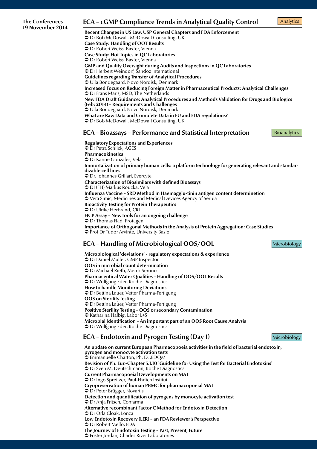# The Conferences **ECA – cGMP Compliance Trends in Analytical Quality Control** Analytics<br>19 November 2014 **ECA** – cGMP Compliance Trends in Analytical Quality Control

**Recent Changes in US Law, USP General Chapters and FDA Enforcement**  $\bullet$  Dr Bob McDowall, McDowall Consulting, UK **Case Study: Handling of OOT Results**  $\supset$  Dr Robert Weiss, Baxter, Vienna **Case Study: Hot Topics in QC Laboratories** Â Dr Robert Weiss, Baxter, Vienna **GMP and Quality Oversight during Audits and Inspections in QC Laboratories ●** Dr Herbert Weindorf, Sandoz International **Guidelines regarding Transfer of Analytical Procedures** Â Ulla Bondegaard, Novo Nordisk, Denmark **Increased Focus on Reducing Foreign Matter in Pharmaceutical Products: Analytical Challenges**  $\supset$  Dr Frans Maris, MSD, The Netherlands **New FDA Draft Guidance: Analytical Procedures and Methods Validation for Drugs and Biologics (Feb: 2014) – Requirements and Challenges** Â Ulla Bondegaard, Novo Nordisk, Denmark **What are Raw Data and Complete Data in EU and FDA regulations?**  $\supset$  Dr Bob McDowall, McDowall Consulting, UK **ECA – Bioassays – Performance and Statistical Interpretation Regulatory Expectations and Experiences**  $\supset$  Dr Petra Schlick, AGES **Pharmacokinetics** Â Dr Karine Gonzales, Vela **Immortalization of primary human cells: a platform technology for generating relevant and standardizable cell lines ●** Dr. Johannes Grillari, Evercyte **Characterization of Biosimilars with defined Bioassays**  $\supseteq$  DI (FH) Markus Roucka, Vela **Influenza Vaccine – SRD Method in Haemagglu-tinin antigen content determinetion ● Vera Simic, Medicines and Medical Devices Agency of Serbia** 

**Bioactivity Testing for Protein Therapeutics**

**●** Dr Ulrike Herbrand, CRL **HCP Assay – New tools for an ongoing challenge**

Â Dr Thomas Flad, Protagen

**Importance of Orthogonal Methods in the Analysis of Protein Aggregation: Case Studies ↑** Prof Dr Tudor Arvinte, University Basle

# **ECA – Handling of Microbiological OOS/OOL** Microbiology

**Microbiological 'deviations' - regulatory expectations & experience** Â Dr Daniel Müller, GMP Inspector **OOS in microbial count determination**  $\supset$  Dr Michael Rieth, Merck Serono **Pharmaceutical Water Qualities – Handling of OOS/OOL Results** ● Dr Wolfgang Eder, Roche Diagnostics **How to handle Monitoring Deviations ●** Dr Bettina Lauer, Vetter Pharma-Fertigung **OOS on Sterility testing**   $\supset$  Dr Bettina Lauer, Vetter Pharma-Fertigung **Positive Sterility Testing – OOS or secondary Contamination**  $\bullet$  Katharina Halbig, Labor L+S **Microbial Identification – An important part of an OOS Root Cause Analysis ●** Dr Wolfgang Eder, Roche Diagnostics

# **ECA – Endotoxin and Pyrogen Testing (Day 1)** Microbiology

**An update on current European Pharmacopoeia activities in the field of bacterial endotoxin, pyrogen and monocyte activation tests**  $\Im$  Emmanuelle Charton, Ph. D., EDQM **Revision of Ph. Eur.-Chapter 5.1.10 'Guideline for Using the Test for Bacterial Endotoxins' ●** Dr Sven M. Deutschmann, Roche Diagnostics **Current Pharmacopoeial Developments on MAT** ● Dr Ingo Spreitzer, Paul-Ehrlich Institut **Cryopreservation of human PBMC for pharmacopoeial MAT**  $\supset$  Dr Peter Brügger, Novartis **Detection and quantification of pyrogens by monocyte activation test**  $\bullet$  Dr Anja Fritsch, Confarma **Alternative recombinant Factor C Method for Endotoxin Detection** ● Dr Orla Cloak, Lonza **Low Endotoxin Recovery (LER) – an FDA Reviewer's Perspective**  $\mathfrak D$  Dr Robert Mello, FDA **The Journey of Endotoxin Testing – Past, Present, Future →** Foster Jordan, Charles River Laboratories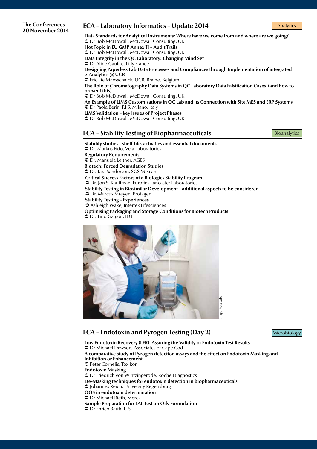#### **The Confrerences 20 November 2014**

### **ECA – Laboratory Informatics – Update 2014** Analytics

**Data Standards for Analytical Instruments: Where have we come from and where are we going?**  $\bullet$  Dr Bob McDowall, McDowall Consulting, UK **Hot Topic in EU GMP Annex 11 – Audit Trails**  $\supset$  Dr Bob McDowall, McDowall Consulting, UK **Data Integrity in the QC Laboratory: Changing Mind Set ●** Dr Aline Gauffre, Lilly France **Designing Paperless Lab Data Processes and Compliances through Implementation of integrated e-Analytics @ UCB** ● Eric De Maesschalck, UCB, Braine, Belgium **The Role of Chromatography Data Systems in QC Laboratory Data Falsification Cases (and how to prevent this)**  $\bullet$  Dr Bob McDowall, McDowall Consulting, UK **An Example of LIMS Customisations in QC Lab and its Connection with Site MES and ERP Systems** Â Dr Paola Berin, F.I.S, Milano, Italy **LIMS Validation – key Issues of Project Phases**  $\supset$  Dr Bob McDowall, McDowall Consulting, UK

### **ECA – Stability Testing of Biopharmaceuticals** Bioanalytics

**Stability studies - shelf-life, activities and essential documents**  $\supset$  Dr. Markus Fido, Vela Laboratories **Regulatory Requirements**  $\supset$  Dr. Manuela Leitner, AGES **Biotech: Forced Degradation Studies**   $\supset$  Dr. Tara Sanderson, SGS M-Scan **Critical Success Factors of a Biologics Stability Program**  $\supset$  Dr. Jon S. Kauffman, Eurofins Lancaster Laboratories **Stability Testing in Biosimilar Development – additional aspects to be considered**   $\bullet$  Dr. Marcus Mreyen, Protagen **Stability Testing – Experiences ● Ashleigh Wake, Intertek Lifesciences Optimising Packaging and Storage Conditions for Biotech Products**  $\bullet$  Dr. Tino Galgon, IDT



# **ECA – Endotoxin and Pyrogen Testing (Day 2)** Microbiology

**Low Endotoxin Recovery (LER): Assuring the Validity of Endotoxin Test Results**  $\supset$  Dr Michael Dawson, Associates of Cape Cod **A comparative study of Pyrogen detection assays and the effect on Endotoxin Masking and Inhibition or Enhancement ● Peter Cornelis, Toxikon Endotoxin Masking ● Dr Friedrich von Wintzingerode, Roche Diagnostics De-Masking techniques for endotoxin detection in biopharmaceuticals** Â Johannes Reich, University Regensburg **OOS in endotoxin determination**   $\supset$  Dr Michael Rieth, Merck **Sample Preparation for LAL Test on Oily Formulation**  $\supset$  Dr Enrico Barth, L+S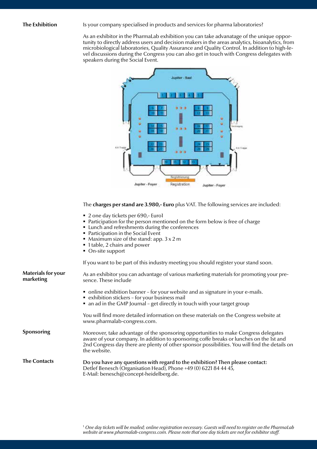#### **The Exhibition**

#### Is your company specialised in products and services for pharma laboratories?

As an exhibitor in the PharmaLab exhibition you can take advanatage of the unique opportunity to directly address users and decision makers in the areas analytics, bioanalytics, from microbiological laboratories, Quality Assurance and Quality Control. In addition to high-level discussions during the Congress you can also get in touch with Congress delegates with speakers during the Social Event.



#### The **charges per stand are 3.980,- Euro** plus VAT. The following services are included:

- 2 one day tickets per 690,- Euro1
- Participation for the person mentioned on the form below is free of charge
- Lunch and refreshments during the conferences
- Participation in the Social Event
- Maximum size of the stand: app.  $3 \times 2$  m
- 1 table, 2 chairs and power
- On-site support

If you want to be part of this industry meeting you should register your stand soon.

| <b>Materials for your</b><br>marketing | As an exhibitor you can advantage of various marketing materials for promoting your pre-<br>sence. These include                                                                                                                                                                                 |  |
|----------------------------------------|--------------------------------------------------------------------------------------------------------------------------------------------------------------------------------------------------------------------------------------------------------------------------------------------------|--|
|                                        | • online exhibition banner - for your website and as signature in your e-mails.<br>• exhibition stickers - for your business mail<br>• an ad in the GMP Journal - get directly in touch with your target group                                                                                   |  |
|                                        | You will find more detailed information on these materials on the Congress website at<br>www.pharmalab-congress.com.                                                                                                                                                                             |  |
| Sponsoring                             | Moreover, take advantage of the sponsoring opportunities to make Congress delegates<br>aware of your company. In addition to sponsoring coffe breaks or lunches on the 1st and<br>2nd Congress day there are plenty of other sponsor possibilities. You will find the details on<br>the website. |  |
| <b>The Contacts</b>                    | Do you have any questions with regard to the exhibition? Then please contact:<br>Detlef Benesch (Organisation Head), Phone +49 (0) 6221 84 44 45,<br>E-Mail: benesch@concept-heidelberg.de.                                                                                                      |  |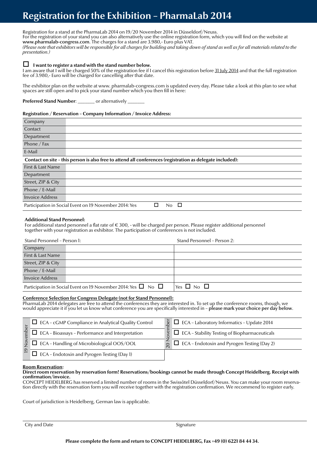# **Registration for the Exhibition – PharmaLab 2014**

Registration for a stand at the PharmaLab 2014 on 19/20 November 2014 in Düsseldorf/Neuss. For the registration of your stand you can also alternatively use the online registration form, which you will find on the website at www.pharmalab-congress.com. The charges for a stand are 3.980,- Euro plus VAT. *(Please note that exhibitors will be responsible for all charges for building and taking down of stand as well as for all materials related to the presentation.)*

#### **I want to register a stand with the stand number below.**

I am aware that I will be charged 50% of the registration fee if I cancel this registration before 31 July 2014 and that the full registration fee of 3.980,- Euro will be charged for cancelling after that date.

The exhibitor plan on the website at www. pharmalab-congress.com is updated every day. Please take a look at this plan to see what spaces are still open and to pick your stand number which you then fill in here:

**Preferred Stand Number:** \_\_\_\_\_\_ or alternatively

#### **Registration / Reservation – Company Information / Invoice Address:**

| Company                                                                                                   |  |  |
|-----------------------------------------------------------------------------------------------------------|--|--|
| Contact                                                                                                   |  |  |
| Department                                                                                                |  |  |
| Phone / Fax                                                                                               |  |  |
| E-Mail                                                                                                    |  |  |
| Contact on site - this person is also free to attend all conferences (registration as delegate included): |  |  |
| First & Last Name                                                                                         |  |  |
| Department                                                                                                |  |  |
| Street, ZIP & City                                                                                        |  |  |
| Phone / E-Mail                                                                                            |  |  |
| Invoice Address                                                                                           |  |  |
| Participation in Social Event on 19 November 2014: Yes<br>$\Box$<br>No.                                   |  |  |

#### **Additional Stand Personnel:**

For additional stand personnel a flat rate of  $\epsilon$  300, - will be charged per person. Please register additional personnel together with your registration as exhibitor. The participation of conferences is not included.

| Stand Personnel - Person 1:                                                                              |  | Stand Personnel - Person 2: |
|----------------------------------------------------------------------------------------------------------|--|-----------------------------|
| Company                                                                                                  |  |                             |
| First & Last Name                                                                                        |  |                             |
| Street, ZIP & City                                                                                       |  |                             |
| Phone $/$ E-Mail                                                                                         |  |                             |
| Invoice Address                                                                                          |  |                             |
| $\forall$ es $\Box$ No $\Box$<br>Participation in Social Event on 19 November 2014: Yes $\Box$ No $\Box$ |  |                             |

#### **Conference Selection for Congress Delegate (not for Stand Personnel):**

PharmaLab 2014 delegates are free to attend the conferences they are interested in. To set up the conference rooms, though, we would appreciate it if you let us know what conference you are specifically interested in – please mark your choice per day below.

|   | $\Box$ ECA - cGMP Compliance in Analytical Quality Control     | $\frac{1}{2}$ ECA - Laboratory Informatics - Update 2014              |
|---|----------------------------------------------------------------|-----------------------------------------------------------------------|
|   | $\Box$ ECA - Bioassays - Performance and Interpretation        | $\frac{9}{2}$ $\Box$ ECA - Stability Testing of Biopharmaceuticals    |
|   | $\frac{5}{7}$ $\Box$ ECA - Handling of Microbiological OOS/OOL | $\overline{\odot}$ $\Box$ ECA – Endotoxin and Pyrogen Testing (Day 2) |
| െ | $\Box$ ECA - Endotoxin and Pyrogen Testing (Day 1)             |                                                                       |

#### **Room Reservation:**

### **Direct room reservation by reservation form! Reservations/bookings cannot be made through Concept Heidelberg. Receipt with confirmation/invoice.**<br>CONCEPT HEIDELBERG has reserved a limited number of rooms in the Swissôtel Düsseldorf/Neuss. You can make your room reserva-

tion directly with the reservation form you will receive together with the registration confirmation. We recommend to register early.

Court of jurisdiction is Heidelberg, German law is applicable.

City and Date Signature Signature Signature Signature Signature Signature Signature Signature Signature Signature Signature Signature Signature Signature Signature Signature Signature Signature Signature Signature Signatur